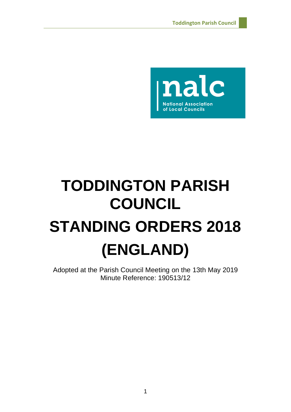

# **TODDINGTON PARISH COUNCIL STANDING ORDERS 2018 (ENGLAND)**

Adopted at the Parish Council Meeting on the 13th May 2019 Minute Reference: 190513/12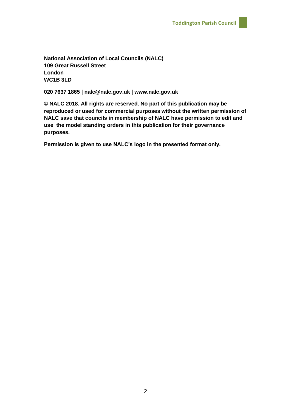**National Association of Local Councils (NALC) 109 Great Russell Street London WC1B 3LD**

**020 7637 1865 | nalc@nalc.gov.uk | www.nalc.gov.uk**

**© NALC 2018. All rights are reserved. No part of this publication may be reproduced or used for commercial purposes without the written permission of NALC save that councils in membership of NALC have permission to edit and use the model standing orders in this publication for their governance purposes.**

**Permission is given to use NALC's logo in the presented format only.**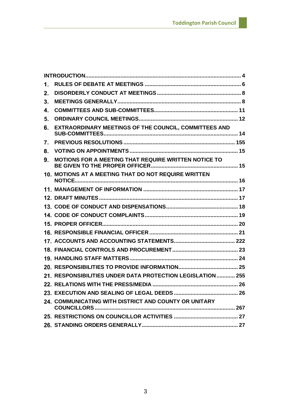| 1.                        |                                                             |  |
|---------------------------|-------------------------------------------------------------|--|
| $2_{-}$                   |                                                             |  |
| 3.                        |                                                             |  |
| $\overline{\mathbf{4}}$ . |                                                             |  |
| 5.                        |                                                             |  |
| 6.                        | EXTRAORDINARY MEETINGS OF THE COUNCIL, COMMITTEES AND       |  |
| 7.                        |                                                             |  |
| 8.                        |                                                             |  |
| 9.                        | MOTIONS FOR A MEETING THAT REQUIRE WRITTEN NOTICE TO        |  |
|                           | 10. MOTIONS AT A MEETING THAT DO NOT REQUIRE WRITTEN        |  |
|                           |                                                             |  |
|                           |                                                             |  |
|                           |                                                             |  |
|                           |                                                             |  |
|                           |                                                             |  |
|                           |                                                             |  |
|                           |                                                             |  |
|                           |                                                             |  |
|                           |                                                             |  |
|                           |                                                             |  |
|                           | 21. RESPONSIBILITIES UNDER DATA PROTECTION LEGISLATION  255 |  |
|                           |                                                             |  |
|                           |                                                             |  |
|                           | 24. COMMUNICATING WITH DISTRICT AND COUNTY OR UNITARY       |  |
|                           |                                                             |  |
|                           |                                                             |  |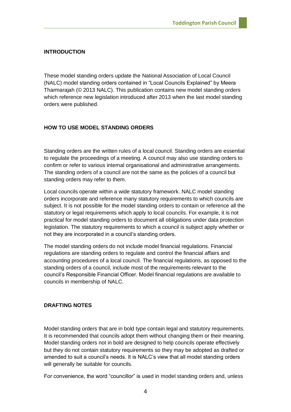# <span id="page-3-0"></span>**INTRODUCTION**

These model standing orders update the National Association of Local Council (NALC) model standing orders contained in "Local Councils Explained" by Meera Tharmarajah (© 2013 NALC). This publication contains new model standing orders which reference new legislation introduced after 2013 when the last model standing orders were published.

# **HOW TO USE MODEL STANDING ORDERS**

Standing orders are the written rules of a local council. Standing orders are essential to regulate the proceedings of a meeting. A council may also use standing orders to confirm or refer to various internal organisational and administrative arrangements. The standing orders of a council are not the same as the policies of a council but standing orders may refer to them.

Local councils operate within a wide statutory framework. NALC model standing orders incorporate and reference many statutory requirements to which councils are subject. It is not possible for the model standing orders to contain or reference all the statutory or legal requirements which apply to local councils. For example, it is not practical for model standing orders to document all obligations under data protection legislation. The statutory requirements to which a council is subject apply whether or not they are incorporated in a council's standing orders.

The model standing orders do not include model financial regulations. Financial regulations are standing orders to regulate and control the financial affairs and accounting procedures of a local council. The financial regulations, as opposed to the standing orders of a council, include most of the requirements relevant to the council's Responsible Financial Officer. Model financial regulations are available to councils in membership of NALC.

## **DRAFTING NOTES**

Model standing orders that are in bold type contain legal and statutory requirements. It is recommended that councils adopt them without changing them or their meaning. Model standing orders not in bold are designed to help councils operate effectively but they do not contain statutory requirements so they may be adopted as drafted or amended to suit a council's needs. It is NALC's view that all model standing orders will generally be suitable for councils.

For convenience, the word "councillor" is used in model standing orders and, unless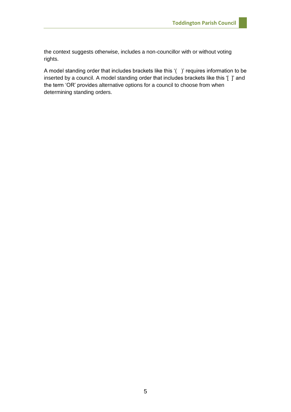the context suggests otherwise, includes a non-councillor with or without voting rights.

A model standing order that includes brackets like this '( )' requires information to be inserted by a council. A model standing order that includes brackets like this '[ ]' and the term 'OR' provides alternative options for a council to choose from when determining standing orders.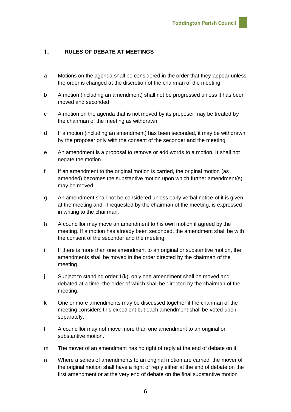#### <span id="page-5-0"></span> $\mathbf{1}$ . **RULES OF DEBATE AT MEETINGS**

- a Motions on the agenda shall be considered in the order that they appear unless the order is changed at the discretion of the chairman of the meeting.
- b A motion (including an amendment) shall not be progressed unless it has been moved and seconded.
- c A motion on the agenda that is not moved by its proposer may be treated by the chairman of the meeting as withdrawn.
- d If a motion (including an amendment) has been seconded, it may be withdrawn by the proposer only with the consent of the seconder and the meeting.
- e An amendment is a proposal to remove or add words to a motion. It shall not negate the motion.
- f If an amendment to the original motion is carried, the original motion (as amended) becomes the substantive motion upon which further amendment(s) may be moved.
- g An amendment shall not be considered unless early verbal notice of it is given at the meeting and, if requested by the chairman of the meeting, is expressed in writing to the chairman.
- h A councillor may move an amendment to his own motion if agreed by the meeting. If a motion has already been seconded, the amendment shall be with the consent of the seconder and the meeting.
- i If there is more than one amendment to an original or substantive motion, the amendments shall be moved in the order directed by the chairman of the meeting.
- j Subject to standing order 1(k), only one amendment shall be moved and debated at a time, the order of which shall be directed by the chairman of the meeting.
- k One or more amendments may be discussed together if the chairman of the meeting considers this expedient but each amendment shall be voted upon separately.
- l A councillor may not move more than one amendment to an original or substantive motion.
- m The mover of an amendment has no right of reply at the end of debate on it.
- n Where a series of amendments to an original motion are carried, the mover of the original motion shall have a right of reply either at the end of debate on the first amendment or at the very end of debate on the final substantive motion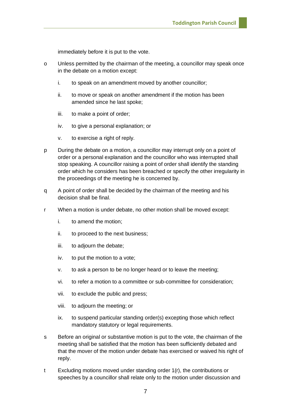immediately before it is put to the vote.

- o Unless permitted by the chairman of the meeting, a councillor may speak once in the debate on a motion except:
	- i. to speak on an amendment moved by another councillor;
	- ii. to move or speak on another amendment if the motion has been amended since he last spoke;
	- iii. to make a point of order;
	- iv. to give a personal explanation; or
	- v. to exercise a right of reply.
- p During the debate on a motion, a councillor may interrupt only on a point of order or a personal explanation and the councillor who was interrupted shall stop speaking. A councillor raising a point of order shall identify the standing order which he considers has been breached or specify the other irregularity in the proceedings of the meeting he is concerned by.
- q A point of order shall be decided by the chairman of the meeting and his decision shall be final.
- r When a motion is under debate, no other motion shall be moved except:
	- i. to amend the motion;
	- ii. to proceed to the next business;
	- iii. to adjourn the debate;
	- iv. to put the motion to a vote;
	- v. to ask a person to be no longer heard or to leave the meeting;
	- vi. to refer a motion to a committee or sub-committee for consideration;
	- vii. to exclude the public and press;
	- viii. to adjourn the meeting; or
	- ix. to suspend particular standing order(s) excepting those which reflect mandatory statutory or legal requirements.
- s Before an original or substantive motion is put to the vote, the chairman of the meeting shall be satisfied that the motion has been sufficiently debated and that the mover of the motion under debate has exercised or waived his right of reply.
- t Excluding motions moved under standing order 1(r), the contributions or speeches by a councillor shall relate only to the motion under discussion and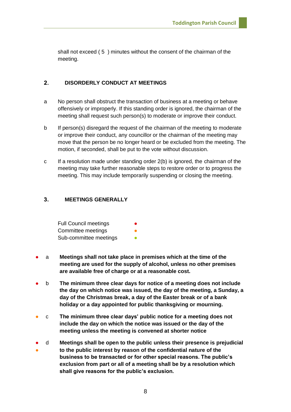shall not exceed ( 5 ) minutes without the consent of the chairman of the meeting.

#### <span id="page-7-0"></span> $2.$ **DISORDERLY CONDUCT AT MEETINGS**

- a No person shall obstruct the transaction of business at a meeting or behave offensively or improperly. If this standing order is ignored, the chairman of the meeting shall request such person(s) to moderate or improve their conduct.
- b If person(s) disregard the request of the chairman of the meeting to moderate or improve their conduct, any councillor or the chairman of the meeting may move that the person be no longer heard or be excluded from the meeting. The motion, if seconded, shall be put to the vote without discussion.
- c If a resolution made under standing order 2(b) is ignored, the chairman of the meeting may take further reasonable steps to restore order or to progress the meeting. This may include temporarily suspending or closing the meeting.

#### <span id="page-7-1"></span> $3<sub>1</sub>$ **MEETINGS GENERALLY**

| <b>Full Council meetings</b> |  |
|------------------------------|--|
| Committee meetings           |  |
| Sub-committee meetings       |  |

- a **Meetings shall not take place in premises which at the time of the meeting are used for the supply of alcohol, unless no other premises are available free of charge or at a reasonable cost.**
- b **The minimum three clear days for notice of a meeting does not include the day on which notice was issued, the day of the meeting, a Sunday, a day of the Christmas break, a day of the Easter break or of a bank holiday or a day appointed for public thanksgiving or mourning.**
- c **The minimum three clear days' public notice for a meeting does not include the day on which the notice was issued or the day of the meeting unless the meeting is convened at shorter notice**
- ● d **Meetings shall be open to the public unless their presence is prejudicial to the public interest by reason of the confidential nature of the business to be transacted or for other special reasons. The public's exclusion from part or all of a meeting shall be by a resolution which shall give reasons for the public's exclusion.**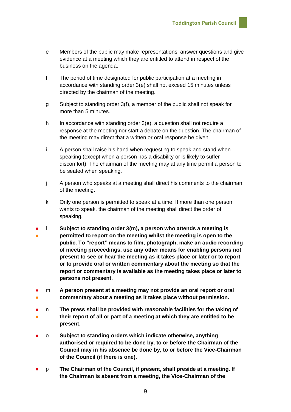- e Members of the public may make representations, answer questions and give evidence at a meeting which they are entitled to attend in respect of the business on the agenda.
- f The period of time designated for public participation at a meeting in accordance with standing order 3(e) shall not exceed 15 minutes unless directed by the chairman of the meeting.
- g Subject to standing order 3(f), a member of the public shall not speak for more than 5 minutes.
- h In accordance with standing order 3(e), a question shall not require a response at the meeting nor start a debate on the question. The chairman of the meeting may direct that a written or oral response be given.
- i A person shall raise his hand when requesting to speak and stand when speaking (except when a person has a disability or is likely to suffer discomfort). The chairman of the meeting may at any time permit a person to be seated when speaking.
- j A person who speaks at a meeting shall direct his comments to the chairman of the meeting.
- k Only one person is permitted to speak at a time. If more than one person wants to speak, the chairman of the meeting shall direct the order of speaking.
- ● l **Subject to standing order 3(m), a person who attends a meeting is permitted to report on the meeting whilst the meeting is open to the public. To "report" means to film, photograph, make an audio recording of meeting proceedings, use any other means for enabling persons not present to see or hear the meeting as it takes place or later or to report or to provide oral or written commentary about the meeting so that the report or commentary is available as the meeting takes place or later to persons not present.**
- ● m **A person present at a meeting may not provide an oral report or oral commentary about a meeting as it takes place without permission.**
- ● n **The press shall be provided with reasonable facilities for the taking of their report of all or part of a meeting at which they are entitled to be present.**
- o **Subject to standing orders which indicate otherwise, anything authorised or required to be done by, to or before the Chairman of the Council may in his absence be done by, to or before the Vice-Chairman of the Council (if there is one).**
- p **The Chairman of the Council, if present, shall preside at a meeting. If the Chairman is absent from a meeting, the Vice-Chairman of the**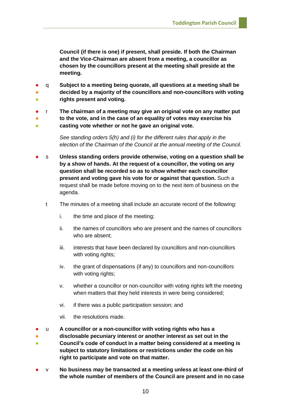**Council (if there is one) if present, shall preside. If both the Chairman and the Vice-Chairman are absent from a meeting, a councillor as chosen by the councillors present at the meeting shall preside at the meeting.**

- q **Subject to a meeting being quorate, all questions at a meeting shall be**
- **。 decided by a majority of the councillors and non-councillors with voting rights present and voting.**
- r **The chairman of a meeting may give an original vote on any matter put**
- ● **to the vote, and in the case of an equality of votes may exercise his casting vote whether or not he gave an original vote.**
	- *See standing orders 5(h) and (i) for the different rules that apply in the election of the Chairman of the Council at the annual meeting of the Council.*
- s **Unless standing orders provide otherwise, voting on a question shall be by a show of hands. At the request of a councillor, the voting on any question shall be recorded so as to show whether each councillor present and voting gave his vote for or against that question.** Such a request shall be made before moving on to the next item of business on the agenda.
	- t The minutes of a meeting shall include an accurate record of the following:
		- i. the time and place of the meeting;
		- ii. the names of councillors who are present and the names of councillors who are absent;
		- iii. interests that have been declared by councillors and non-councillors with voting rights;
		- iv. the grant of dispensations (if any) to councillors and non-councillors with voting rights;
		- v. whether a councillor or non-councillor with voting rights left the meeting when matters that they held interests in were being considered;
		- vi. if there was a public participation session; and
		- vii. the resolutions made.
- u **A councillor or a non-councillor with voting rights who has a**
- ● **disclosable pecuniary interest or another interest as set out in the Council's code of conduct in a matter being considered at a meeting is subject to statutory limitations or restrictions under the code on his right to participate and vote on that matter.**
- v **No business may be transacted at a meeting unless at least one-third of the whole number of members of the Council are present and in no case**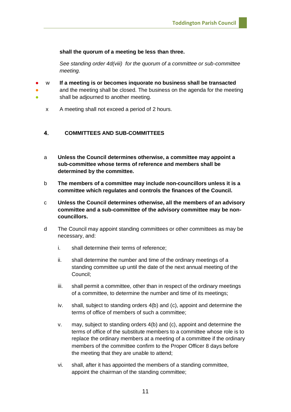## **shall the quorum of a meeting be less than three.**

*See standing order 4d(viii) for the quorum of a committee or sub-committee meeting.* 

- ● **。** w **If a meeting is or becomes inquorate no business shall be transacted** and the meeting shall be closed. The business on the agenda for the meeting shall be adjourned to another meeting.
	- x A meeting shall not exceed a period of 2 hours.

#### <span id="page-10-0"></span>**COMMITTEES AND SUB-COMMITTEES** 4.

- a **Unless the Council determines otherwise, a committee may appoint a sub-committee whose terms of reference and members shall be determined by the committee.**
- b **The members of a committee may include non-councillors unless it is a committee which regulates and controls the finances of the Council.**
- c **Unless the Council determines otherwise, all the members of an advisory committee and a sub-committee of the advisory committee may be noncouncillors.**
- d The Council may appoint standing committees or other committees as may be necessary, and:
	- i. shall determine their terms of reference;
	- ii. shall determine the number and time of the ordinary meetings of a standing committee up until the date of the next annual meeting of the Council;
	- iii. shall permit a committee, other than in respect of the ordinary meetings of a committee, to determine the number and time of its meetings;
	- iv. shall, subject to standing orders 4(b) and (c), appoint and determine the terms of office of members of such a committee;
	- v. may, subject to standing orders 4(b) and (c), appoint and determine the terms of office of the substitute members to a committee whose role is to replace the ordinary members at a meeting of a committee if the ordinary members of the committee confirm to the Proper Officer 8 days before the meeting that they are unable to attend;
	- vi. shall, after it has appointed the members of a standing committee, appoint the chairman of the standing committee;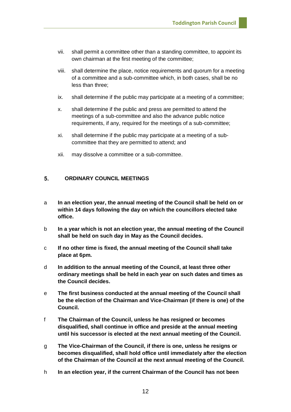- vii. shall permit a committee other than a standing committee, to appoint its own chairman at the first meeting of the committee;
- viii. shall determine the place, notice requirements and quorum for a meeting of a committee and a sub-committee which, in both cases, shall be no less than three;
- ix. shall determine if the public may participate at a meeting of a committee;
- x. shall determine if the public and press are permitted to attend the meetings of a sub-committee and also the advance public notice requirements, if any, required for the meetings of a sub-committee;
- xi. shall determine if the public may participate at a meeting of a subcommittee that they are permitted to attend; and
- xii. may dissolve a committee or a sub-committee.

#### <span id="page-11-0"></span>5. **ORDINARY COUNCIL MEETINGS**

- a **In an election year, the annual meeting of the Council shall be held on or within 14 days following the day on which the councillors elected take office.**
- b **In a year which is not an election year, the annual meeting of the Council shall be held on such day in May as the Council decides.**
- c **If no other time is fixed, the annual meeting of the Council shall take place at 6pm.**
- d **In addition to the annual meeting of the Council, at least three other ordinary meetings shall be held in each year on such dates and times as the Council decides.**
- e **The first business conducted at the annual meeting of the Council shall be the election of the Chairman and Vice-Chairman (if there is one) of the Council.**
- f **The Chairman of the Council, unless he has resigned or becomes disqualified, shall continue in office and preside at the annual meeting until his successor is elected at the next annual meeting of the Council.**
- g **The Vice-Chairman of the Council, if there is one, unless he resigns or becomes disqualified, shall hold office until immediately after the election of the Chairman of the Council at the next annual meeting of the Council.**
- h **In an election year, if the current Chairman of the Council has not been**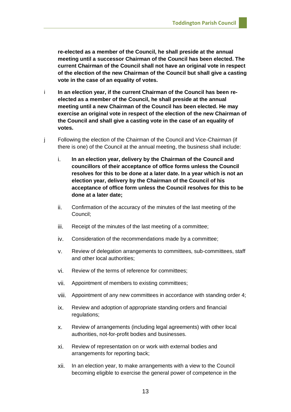**re-elected as a member of the Council, he shall preside at the annual meeting until a successor Chairman of the Council has been elected. The current Chairman of the Council shall not have an original vote in respect of the election of the new Chairman of the Council but shall give a casting vote in the case of an equality of votes.**

- i **In an election year, if the current Chairman of the Council has been reelected as a member of the Council, he shall preside at the annual meeting until a new Chairman of the Council has been elected. He may exercise an original vote in respect of the election of the new Chairman of the Council and shall give a casting vote in the case of an equality of votes.**
- j Following the election of the Chairman of the Council and Vice-Chairman (if there is one) of the Council at the annual meeting, the business shall include:
	- i. **In an election year, delivery by the Chairman of the Council and councillors of their acceptance of office forms unless the Council resolves for this to be done at a later date. In a year which is not an election year, delivery by the Chairman of the Council of his acceptance of office form unless the Council resolves for this to be done at a later date;**
	- ii. Confirmation of the accuracy of the minutes of the last meeting of the Council;
	- iii. Receipt of the minutes of the last meeting of a committee;
	- iv. Consideration of the recommendations made by a committee;
	- v. Review of delegation arrangements to committees, sub-committees, staff and other local authorities;
	- vi. Review of the terms of reference for committees;
	- vii. Appointment of members to existing committees;
	- viii. Appointment of any new committees in accordance with standing order 4;
	- ix. Review and adoption of appropriate standing orders and financial regulations;
	- x. Review of arrangements (including legal agreements) with other local authorities, not-for-profit bodies and businesses.
	- xi. Review of representation on or work with external bodies and arrangements for reporting back;
	- xii. In an election year, to make arrangements with a view to the Council becoming eligible to exercise the general power of competence in the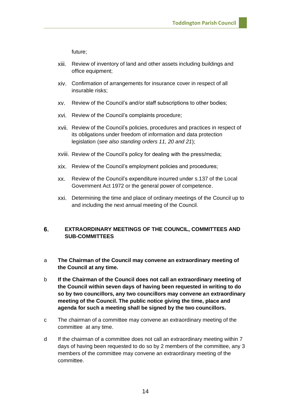future;

- xiii. Review of inventory of land and other assets including buildings and office equipment;
- xiv. Confirmation of arrangements for insurance cover in respect of all insurable risks;
- xv. Review of the Council's and/or staff subscriptions to other bodies;
- xvi. Review of the Council's complaints procedure;
- xvii. Review of the Council's policies, procedures and practices in respect of its obligations under freedom of information and data protection legislation (*see also standing orders 11, 20 and 21*);
- xviii. Review of the Council's policy for dealing with the press/media;
- xix. Review of the Council's employment policies and procedures;
- xx. Review of the Council's expenditure incurred under s.137 of the Local Government Act 1972 or the general power of competence.
- xxi. Determining the time and place of ordinary meetings of the Council up to and including the next annual meeting of the Council.

### <span id="page-13-0"></span>6. **EXTRAORDINARY MEETINGS OF THE COUNCIL, COMMITTEES AND SUB-COMMITTEES**

- a **The Chairman of the Council may convene an extraordinary meeting of the Council at any time.**
- b **If the Chairman of the Council does not call an extraordinary meeting of the Council within seven days of having been requested in writing to do so by two councillors, any two councillors may convene an extraordinary meeting of the Council. The public notice giving the time, place and agenda for such a meeting shall be signed by the two councillors.**
- c The chairman of a committee may convene an extraordinary meeting of the committee at any time.
- d If the chairman of a committee does not call an extraordinary meeting within 7 days of having been requested to do so by 2 members of the committee, any 3 members of the committee may convene an extraordinary meeting of the committee.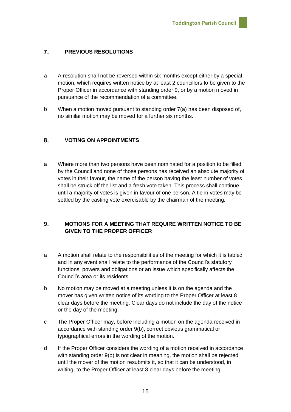#### <span id="page-14-0"></span> $\overline{7}$ . **PREVIOUS RESOLUTIONS**

- a A resolution shall not be reversed within six months except either by a special motion, which requires written notice by at least 2 councillors to be given to the Proper Officer in accordance with standing order 9, or by a motion moved in pursuance of the recommendation of a committee.
- b When a motion moved pursuant to standing order 7(a) has been disposed of, no similar motion may be moved for a further six months.

#### <span id="page-14-1"></span>8. **VOTING ON APPOINTMENTS**

a Where more than two persons have been nominated for a position to be filled by the Council and none of those persons has received an absolute majority of votes in their favour, the name of the person having the least number of votes shall be struck off the list and a fresh vote taken. This process shall continue until a majority of votes is given in favour of one person. A tie in votes may be settled by the casting vote exercisable by the chairman of the meeting.

## <span id="page-14-2"></span> $9<sub>1</sub>$ **MOTIONS FOR A MEETING THAT REQUIRE WRITTEN NOTICE TO BE GIVEN TO THE PROPER OFFICER**

- a A motion shall relate to the responsibilities of the meeting for which it is tabled and in any event shall relate to the performance of the Council's statutory functions, powers and obligations or an issue which specifically affects the Council's area or its residents.
- b No motion may be moved at a meeting unless it is on the agenda and the mover has given written notice of its wording to the Proper Officer at least 8 clear days before the meeting. Clear days do not include the day of the notice or the day of the meeting.
- c The Proper Officer may, before including a motion on the agenda received in accordance with standing order 9(b), correct obvious grammatical or typographical errors in the wording of the motion.
- d If the Proper Officer considers the wording of a motion received in accordance with standing order 9(b) is not clear in meaning, the motion shall be rejected until the mover of the motion resubmits it, so that it can be understood, in writing, to the Proper Officer at least 8 clear days before the meeting.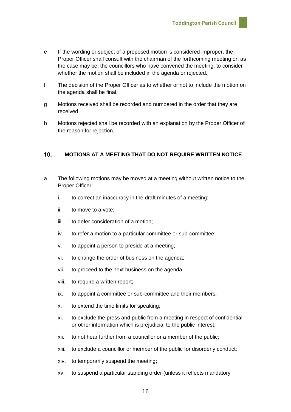- e If the wording or subject of a proposed motion is considered improper, the Proper Officer shall consult with the chairman of the forthcoming meeting or, as the case may be, the councillors who have convened the meeting, to consider whether the motion shall be included in the agenda or rejected.
- f The decision of the Proper Officer as to whether or not to include the motion on the agenda shall be final.
- g Motions received shall be recorded and numbered in the order that they are received.
- h Motions rejected shall be recorded with an explanation by the Proper Officer of the reason for rejection.

#### <span id="page-15-0"></span> $10<sub>1</sub>$ **MOTIONS AT A MEETING THAT DO NOT REQUIRE WRITTEN NOTICE**

- a The following motions may be moved at a meeting without written notice to the Proper Officer:
	- i. to correct an inaccuracy in the draft minutes of a meeting;
	- ii. to move to a vote;
	- iii. to defer consideration of a motion;
	- iv. to refer a motion to a particular committee or sub-committee;
	- v. to appoint a person to preside at a meeting;
	- vi. to change the order of business on the agenda;
	- vii. to proceed to the next business on the agenda;
	- viii. to require a written report;
	- ix. to appoint a committee or sub-committee and their members;
	- x. to extend the time limits for speaking;
	- xi. to exclude the press and public from a meeting in respect of confidential or other information which is prejudicial to the public interest;
	- xii. to not hear further from a councillor or a member of the public;
	- xiii. to exclude a councillor or member of the public for disorderly conduct;
	- xiv. to temporarily suspend the meeting;
	- xv. to suspend a particular standing order (unless it reflects mandatory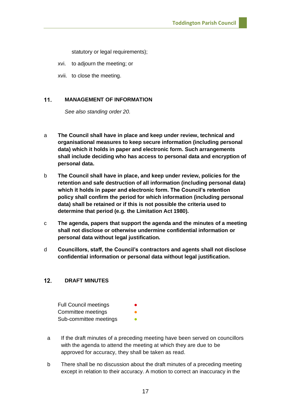statutory or legal requirements);

xvi. to adjourn the meeting; or

xvii. to close the meeting.

#### <span id="page-16-0"></span> $11.$ **MANAGEMENT OF INFORMATION**

*See also standing order 20.*

- a **The Council shall have in place and keep under review, technical and organisational measures to keep secure information (including personal data) which it holds in paper and electronic form. Such arrangements shall include deciding who has access to personal data and encryption of personal data.**
- b **The Council shall have in place, and keep under review, policies for the retention and safe destruction of all information (including personal data) which it holds in paper and electronic form. The Council's retention policy shall confirm the period for which information (including personal data) shall be retained or if this is not possible the criteria used to determine that period (e.g. the Limitation Act 1980).**
- c **The agenda, papers that support the agenda and the minutes of a meeting shall not disclose or otherwise undermine confidential information or personal data without legal justification.**
- d **Councillors, staff, the Council's contractors and agents shall not disclose confidential information or personal data without legal justification.**

#### <span id="page-16-1"></span> $12.$ **DRAFT MINUTES**

| <b>Full Council meetings</b> | $\bullet$ |
|------------------------------|-----------|
| Committee meetings           |           |
| Sub-committee meetings       |           |

- a If the draft minutes of a preceding meeting have been served on councillors with the agenda to attend the meeting at which they are due to be approved for accuracy, they shall be taken as read.
- b There shall be no discussion about the draft minutes of a preceding meeting except in relation to their accuracy. A motion to correct an inaccuracy in the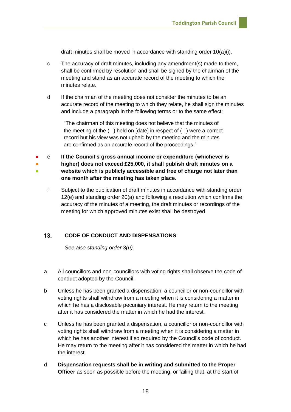draft minutes shall be moved in accordance with standing order 10(a)(i).

- c The accuracy of draft minutes, including any amendment(s) made to them, shall be confirmed by resolution and shall be signed by the chairman of the meeting and stand as an accurate record of the meeting to which the minutes relate.
- d If the chairman of the meeting does not consider the minutes to be an accurate record of the meeting to which they relate, he shall sign the minutes and include a paragraph in the following terms or to the same effect:

"The chairman of this meeting does not believe that the minutes of the meeting of the ( ) held on [date] in respect of ( ) were a correct record but his view was not upheld by the meeting and the minutes are confirmed as an accurate record of the proceedings."

● ● ● e **If the Council's gross annual income or expenditure (whichever is higher) does not exceed £25,000, it shall publish draft minutes on a website which is publicly accessible and free of charge not later than one month after the meeting has taken place.**

f Subject to the publication of draft minutes in accordance with standing order 12(e) and standing order 20(a) and following a resolution which confirms the accuracy of the minutes of a meeting, the draft minutes or recordings of the meeting for which approved minutes exist shall be destroyed.

#### <span id="page-17-0"></span> $13.$ **CODE OF CONDUCT AND DISPENSATIONS**

*See also standing order 3(u).*

- a All councillors and non-councillors with voting rights shall observe the code of conduct adopted by the Council.
- b Unless he has been granted a dispensation, a councillor or non-councillor with voting rights shall withdraw from a meeting when it is considering a matter in which he has a disclosable pecuniary interest. He may return to the meeting after it has considered the matter in which he had the interest.
- c Unless he has been granted a dispensation, a councillor or non-councillor with voting rights shall withdraw from a meeting when it is considering a matter in which he has another interest if so required by the Council's code of conduct. He may return to the meeting after it has considered the matter in which he had the interest.
- d **Dispensation requests shall be in writing and submitted to the Proper Officer** as soon as possible before the meeting, or failing that, at the start of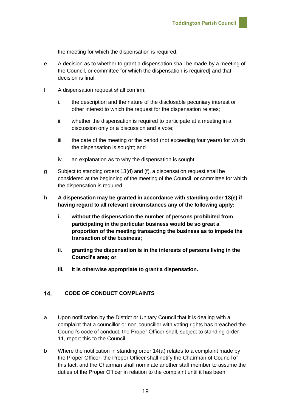the meeting for which the dispensation is required.

- e A decision as to whether to grant a dispensation shall be made by a meeting of the Council, or committee for which the dispensation is required] and that decision is final.
- f A dispensation request shall confirm:
	- i. the description and the nature of the disclosable pecuniary interest or other interest to which the request for the dispensation relates;
	- ii. whether the dispensation is required to participate at a meeting in a discussion only or a discussion and a vote;
	- iii. the date of the meeting or the period (not exceeding four years) for which the dispensation is sought; and
	- iv. an explanation as to why the dispensation is sought.
- g Subject to standing orders 13(d) and (f), a dispensation request shall be considered at the beginning of the meeting of the Council, or committee for which the dispensation is required.
- **h A dispensation may be granted in accordance with standing order 13(e) if having regard to all relevant circumstances any of the following apply:**
	- **i. without the dispensation the number of persons prohibited from participating in the particular business would be so great a proportion of the meeting transacting the business as to impede the transaction of the business;**
	- **ii. granting the dispensation is in the interests of persons living in the Council's area; or**
	- **iii. it is otherwise appropriate to grant a dispensation.**

#### <span id="page-18-0"></span> $14$ **CODE OF CONDUCT COMPLAINTS**

- a Upon notification by the District or Unitary Council that it is dealing with a complaint that a councillor or non-councillor with voting rights has breached the Council's code of conduct, the Proper Officer shall, subject to standing order 11, report this to the Council.
- b Where the notification in standing order 14(a) relates to a complaint made by the Proper Officer, the Proper Officer shall notify the Chairman of Council of this fact, and the Chairman shall nominate another staff member to assume the duties of the Proper Officer in relation to the complaint until it has been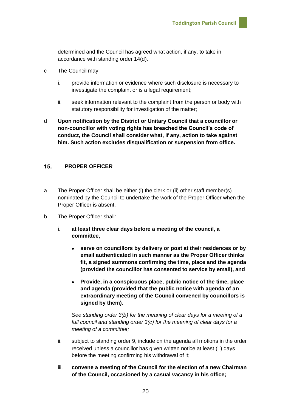determined and the Council has agreed what action, if any, to take in accordance with standing order 14(d).

- c The Council may:
	- i. provide information or evidence where such disclosure is necessary to investigate the complaint or is a legal requirement:
	- ii. seek information relevant to the complaint from the person or body with statutory responsibility for investigation of the matter;
- d **Upon notification by the District or Unitary Council that a councillor or non-councillor with voting rights has breached the Council's code of conduct, the Council shall consider what, if any, action to take against him. Such action excludes disqualification or suspension from office.**

#### <span id="page-19-0"></span> $15.$ **PROPER OFFICER**

- a The Proper Officer shall be either (i) the clerk or (ii) other staff member(s) nominated by the Council to undertake the work of the Proper Officer when the Proper Officer is absent.
- b The Proper Officer shall:
	- i. **at least three clear days before a meeting of the council, a committee,**
		- **serve on councillors by delivery or post at their residences or by email authenticated in such manner as the Proper Officer thinks fit, a signed summons confirming the time, place and the agenda (provided the councillor has consented to service by email), and**
		- **Provide, in a conspicuous place, public notice of the time, place and agenda (provided that the public notice with agenda of an extraordinary meeting of the Council convened by councillors is signed by them).**

*See standing order 3(b) for the meaning of clear days for a meeting of a full council and standing order 3(c) for the meaning of clear days for a meeting of a committee;*

- ii. subject to standing order 9, include on the agenda all motions in the order received unless a councillor has given written notice at least ( ) days before the meeting confirming his withdrawal of it;
- iii. **convene a meeting of the Council for the election of a new Chairman of the Council, occasioned by a casual vacancy in his office;**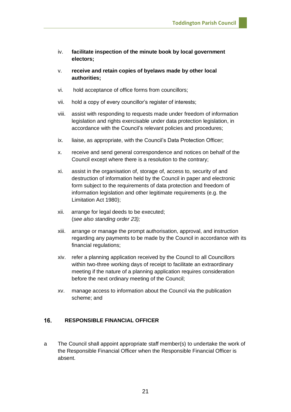- iv. **facilitate inspection of the minute book by local government electors;**
- v. **receive and retain copies of byelaws made by other local authorities;**
- vi. hold acceptance of office forms from councillors;
- vii. hold a copy of every councillor's register of interests;
- viii. assist with responding to requests made under freedom of information legislation and rights exercisable under data protection legislation, in accordance with the Council's relevant policies and procedures;
- ix. liaise, as appropriate, with the Council's Data Protection Officer;
- x. receive and send general correspondence and notices on behalf of the Council except where there is a resolution to the contrary;
- xi. assist in the organisation of, storage of, access to, security of and destruction of information held by the Council in paper and electronic form subject to the requirements of data protection and freedom of information legislation and other legitimate requirements (e.g. the Limitation Act 1980);
- xii. arrange for legal deeds to be executed; (*see also standing order 23);*
- xiii. arrange or manage the prompt authorisation, approval, and instruction regarding any payments to be made by the Council in accordance with its financial regulations;
- xiv. refer a planning application received by the Council to all Councillors within two-three working days of receipt to facilitate an extraordinary meeting if the nature of a planning application requires consideration before the next ordinary meeting of the Council;
- xv. manage access to information about the Council via the publication scheme; and

#### <span id="page-20-0"></span>16. **RESPONSIBLE FINANCIAL OFFICER**

a The Council shall appoint appropriate staff member(s) to undertake the work of the Responsible Financial Officer when the Responsible Financial Officer is absent.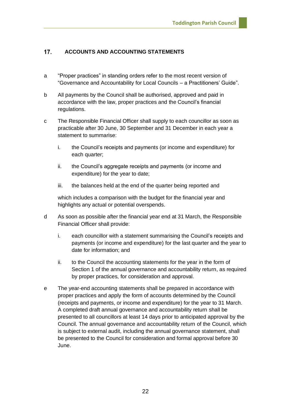#### <span id="page-21-0"></span> $17.$ **ACCOUNTS AND ACCOUNTING STATEMENTS**

- a "Proper practices" in standing orders refer to the most recent version of "Governance and Accountability for Local Councils – a Practitioners' Guide".
- b All payments by the Council shall be authorised, approved and paid in accordance with the law, proper practices and the Council's financial regulations.
- c The Responsible Financial Officer shall supply to each councillor as soon as practicable after 30 June, 30 September and 31 December in each year a statement to summarise:
	- i. the Council's receipts and payments (or income and expenditure) for each quarter;
	- ii. the Council's aggregate receipts and payments (or income and expenditure) for the year to date;
	- iii. the balances held at the end of the quarter being reported and

which includes a comparison with the budget for the financial year and highlights any actual or potential overspends.

- d As soon as possible after the financial year end at 31 March, the Responsible Financial Officer shall provide:
	- i. each councillor with a statement summarising the Council's receipts and payments (or income and expenditure) for the last quarter and the year to date for information; and
	- ii. to the Council the accounting statements for the year in the form of Section 1 of the annual governance and accountability return, as required by proper practices, for consideration and approval.
- e The year-end accounting statements shall be prepared in accordance with proper practices and apply the form of accounts determined by the Council (receipts and payments, or income and expenditure) for the year to 31 March. A completed draft annual governance and accountability return shall be presented to all councillors at least 14 days prior to anticipated approval by the Council. The annual governance and accountability return of the Council, which is subject to external audit, including the annual governance statement, shall be presented to the Council for consideration and formal approval before 30 June.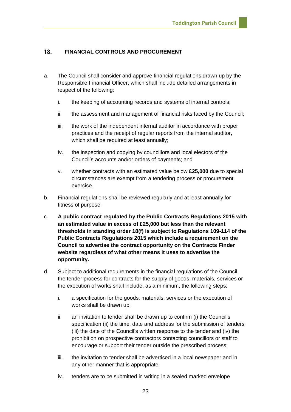#### <span id="page-22-0"></span>18. **FINANCIAL CONTROLS AND PROCUREMENT**

- a. The Council shall consider and approve financial regulations drawn up by the Responsible Financial Officer, which shall include detailed arrangements in respect of the following:
	- i. the keeping of accounting records and systems of internal controls;
	- ii. the assessment and management of financial risks faced by the Council;
	- iii. the work of the independent internal auditor in accordance with proper practices and the receipt of regular reports from the internal auditor, which shall be required at least annually;
	- iv. the inspection and copying by councillors and local electors of the Council's accounts and/or orders of payments; and
	- v. whether contracts with an estimated value below **£25,000** due to special circumstances are exempt from a tendering process or procurement exercise.
- b. Financial regulations shall be reviewed regularly and at least annually for fitness of purpose.
- c. **A public contract regulated by the Public Contracts Regulations 2015 with an estimated value in excess of £25,000 but less than the relevant thresholds in standing order 18(f) is subject to Regulations 109-114 of the Public Contracts Regulations 2015 which include a requirement on the Council to advertise the contract opportunity on the Contracts Finder website regardless of what other means it uses to advertise the opportunity.**
- d. Subject to additional requirements in the financial regulations of the Council, the tender process for contracts for the supply of goods, materials, services or the execution of works shall include, as a minimum, the following steps:
	- i. a specification for the goods, materials, services or the execution of works shall be drawn up;
	- ii. an invitation to tender shall be drawn up to confirm (i) the Council's specification (ii) the time, date and address for the submission of tenders (iii) the date of the Council's written response to the tender and (iv) the prohibition on prospective contractors contacting councillors or staff to encourage or support their tender outside the prescribed process;
	- iii. the invitation to tender shall be advertised in a local newspaper and in any other manner that is appropriate;
	- iv. tenders are to be submitted in writing in a sealed marked envelope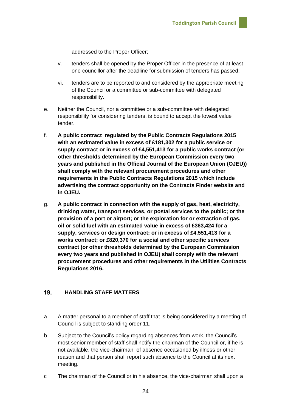addressed to the Proper Officer;

- v. tenders shall be opened by the Proper Officer in the presence of at least one councillor after the deadline for submission of tenders has passed;
- vi. tenders are to be reported to and considered by the appropriate meeting of the Council or a committee or sub-committee with delegated responsibility.
- e. Neither the Council, nor a committee or a sub-committee with delegated responsibility for considering tenders, is bound to accept the lowest value tender.
- f. **A public contract regulated by the Public Contracts Regulations 2015 with an estimated value in excess of £181,302 for a public service or supply contract or in excess of £4,551,413 for a public works contract (or other thresholds determined by the European Commission every two years and published in the Official Journal of the European Union (OJEU)) shall comply with the relevant procurement procedures and other requirements in the Public Contracts Regulations 2015 which include advertising the contract opportunity on the Contracts Finder website and in OJEU.**
- g. **A public contract in connection with the supply of gas, heat, electricity, drinking water, transport services, or postal services to the public; or the provision of a port or airport; or the exploration for or extraction of gas, oil or solid fuel with an estimated value in excess of £363,424 for a supply, services or design contract; or in excess of £4,551,413 for a works contract; or £820,370 for a social and other specific services contract (or other thresholds determined by the European Commission every two years and published in OJEU) shall comply with the relevant procurement procedures and other requirements in the Utilities Contracts Regulations 2016.**

#### <span id="page-23-0"></span>19. **HANDLING STAFF MATTERS**

- a A matter personal to a member of staff that is being considered by a meeting of Council is subject to standing order 11.
- b Subject to the Council's policy regarding absences from work, the Council's most senior member of staff shall notify the chairman of the Council or, if he is not available, the vice-chairman of absence occasioned by illness or other reason and that person shall report such absence to the Council at its next meeting.
- c The chairman of the Council or in his absence, the vice-chairman shall upon a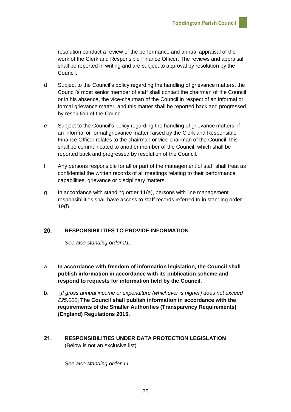resolution conduct a review of the performance and annual appraisal of the work of the Clerk and Responsible Finance Officer. The reviews and appraisal shall be reported in writing and are subject to approval by resolution by the Council.

- d Subject to the Council's policy regarding the handling of grievance matters, the Council's most senior member of staff shall contact the chairman of the Council or in his absence, the vice-chairman of the Council in respect of an informal or formal grievance matter, and this matter shall be reported back and progressed by resolution of the Council.
- e Subject to the Council's policy regarding the handling of grievance matters, if an informal or formal grievance matter raised by the Clerk and Responsible Finance Officer relates to the chairman or vice-chairman of the Council, this shall be communicated to another member of the Council, which shall be reported back and progressed by resolution of the Council.
- f Any persons responsible for all or part of the management of staff shall treat as confidential the written records of all meetings relating to their performance, capabilities, grievance or disciplinary matters.
- g In accordance with standing order 11(a), persons with line management responsibilities shall have access to staff records referred to in standing order 19(f).

#### <span id="page-24-0"></span>20. **RESPONSIBILITIES TO PROVIDE INFORMATION**

*See also standing order 21.*

- a **In accordance with freedom of information legislation, the Council shall publish information in accordance with its publication scheme and respond to requests for information held by the Council.**
- b. [*If gross annual income or expenditure (whichever is higher) does not exceed £25,000*] **The Council shall publish information in accordance with the requirements of the Smaller Authorities (Transparency Requirements) (England) Regulations 2015.**
- <span id="page-24-1"></span> $21.$ **RESPONSIBILITIES UNDER DATA PROTECTION LEGISLATION**  (Below is not an exclusive list).

*See also standing order 11.*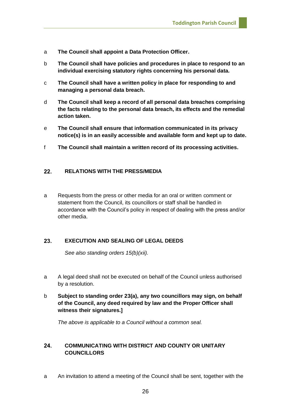- a **The Council shall appoint a Data Protection Officer.**
- b **The Council shall have policies and procedures in place to respond to an individual exercising statutory rights concerning his personal data.**
- c **The Council shall have a written policy in place for responding to and managing a personal data breach.**
- d **The Council shall keep a record of all personal data breaches comprising the facts relating to the personal data breach, its effects and the remedial action taken.**
- e **The Council shall ensure that information communicated in its privacy notice(s) is in an easily accessible and available form and kept up to date.**
- f **The Council shall maintain a written record of its processing activities.**

#### <span id="page-25-0"></span> $22.$ **RELATIONS WITH THE PRESS/MEDIA**

a Requests from the press or other media for an oral or written comment or statement from the Council, its councillors or staff shall be handled in accordance with the Council's policy in respect of dealing with the press and/or other media.

#### <span id="page-25-1"></span>23. **EXECUTION AND SEALING OF LEGAL DEEDS**

*See also standing orders 15(b)(xii).*

- a A legal deed shall not be executed on behalf of the Council unless authorised by a resolution.
- b **Subject to standing order 23(a), any two councillors may sign, on behalf of the Council, any deed required by law and the Proper Officer shall witness their signatures.]**

*The above is applicable to a Council without a common seal.*

## <span id="page-25-2"></span>24. **COMMUNICATING WITH DISTRICT AND COUNTY OR UNITARY COUNCILLORS**

a An invitation to attend a meeting of the Council shall be sent, together with the